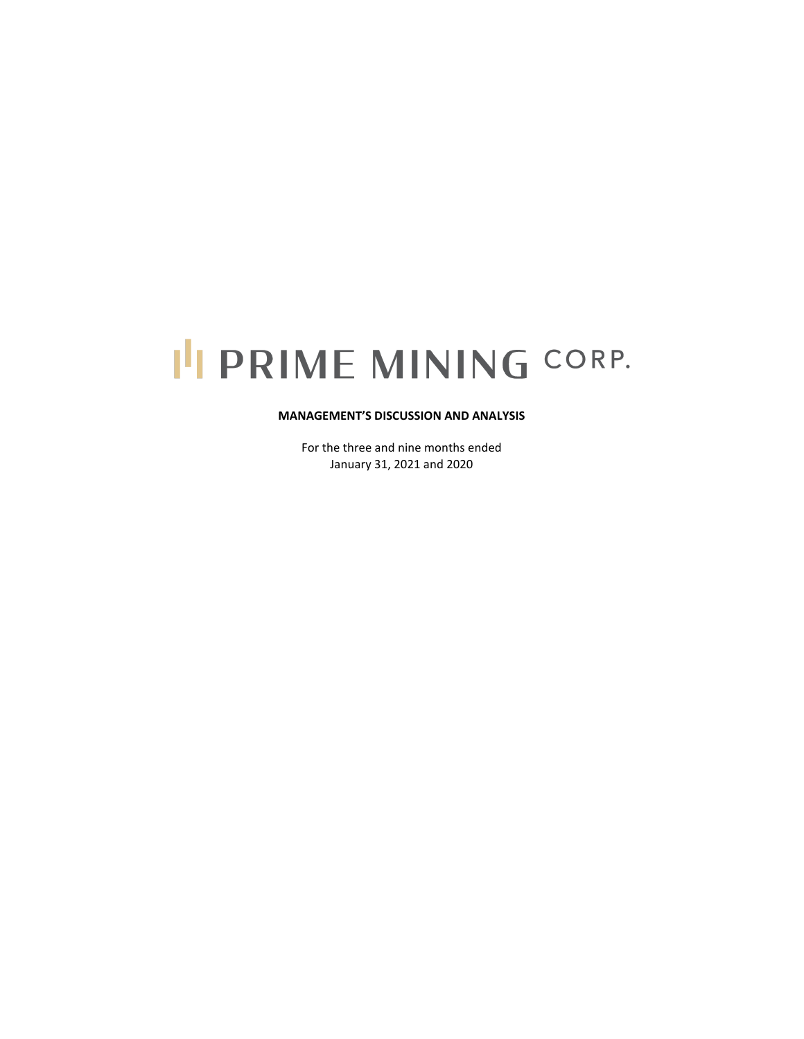# I'I PRIME MINING CORP.

# **MANAGEMENT'S DISCUSSION AND ANALYSIS**

For the three and nine months ended January 31, 2021 and 2020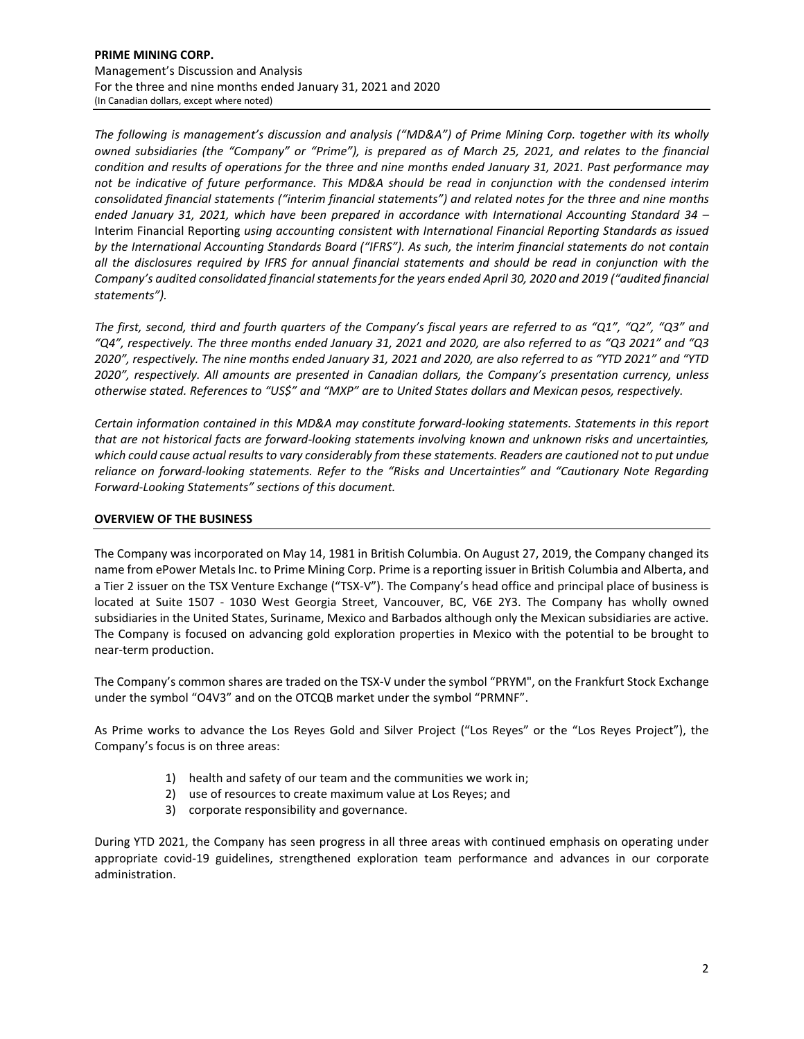*The following is management's discussion and analysis ("MD&A") of Prime Mining Corp. together with its wholly owned subsidiaries (the "Company" or "Prime"), is prepared as of March 25, 2021, and relates to the financial condition and results of operations for the three and nine months ended January 31, 2021. Past performance may not be indicative of future performance. This MD&A should be read in conjunction with the condensed interim consolidated financial statements ("interim financial statements") and related notes for the three and nine months ended January 31, 2021, which have been prepared in accordance with International Accounting Standard 34 –* Interim Financial Reporting *using accounting consistent with International Financial Reporting Standards as issued by the International Accounting Standards Board ("IFRS"). As such, the interim financial statements do not contain all the disclosures required by IFRS for annual financial statements and should be read in conjunction with the Company's audited consolidated financial statements for the years ended April 30, 2020 and 2019 ("audited financial statements").*

*The first, second, third and fourth quarters of the Company's fiscal years are referred to as "Q1", "Q2", "Q3" and "Q4", respectively. The three months ended January 31, 2021 and 2020, are also referred to as "Q3 2021" and "Q3 2020", respectively. The nine months ended January 31, 2021 and 2020, are also referred to as "YTD 2021" and "YTD 2020", respectively. All amounts are presented in Canadian dollars, the Company's presentation currency, unless otherwise stated. References to "US\$" and "MXP" are to United States dollars and Mexican pesos, respectively.*

*Certain information contained in this MD&A may constitute forward-looking statements. Statements in this report that are not historical facts are forward-looking statements involving known and unknown risks and uncertainties, which could cause actual results to vary considerably from these statements. Readers are cautioned not to put undue reliance on forward-looking statements. Refer to the "Risks and Uncertainties" and "Cautionary Note Regarding Forward-Looking Statements" sections of this document.* 

# **OVERVIEW OF THE BUSINESS**

The Company was incorporated on May 14, 1981 in British Columbia. On August 27, 2019, the Company changed its name from ePower Metals Inc. to Prime Mining Corp. Prime is a reporting issuer in British Columbia and Alberta, and a Tier 2 issuer on the TSX Venture Exchange ("TSX-V"). The Company's head office and principal place of business is located at Suite 1507 - 1030 West Georgia Street, Vancouver, BC, V6E 2Y3. The Company has wholly owned subsidiaries in the United States, Suriname, Mexico and Barbados although only the Mexican subsidiaries are active. The Company is focused on advancing gold exploration properties in Mexico with the potential to be brought to near-term production.

The Company's common shares are traded on the TSX-V under the symbol "PRYM", on the Frankfurt Stock Exchange under the symbol "O4V3" and on the OTCQB market under the symbol "PRMNF".

As Prime works to advance the Los Reyes Gold and Silver Project ("Los Reyes" or the "Los Reyes Project"), the Company's focus is on three areas:

- 1) health and safety of our team and the communities we work in;
- 2) use of resources to create maximum value at Los Reyes; and
- 3) corporate responsibility and governance.

During YTD 2021, the Company has seen progress in all three areas with continued emphasis on operating under appropriate covid-19 guidelines, strengthened exploration team performance and advances in our corporate administration.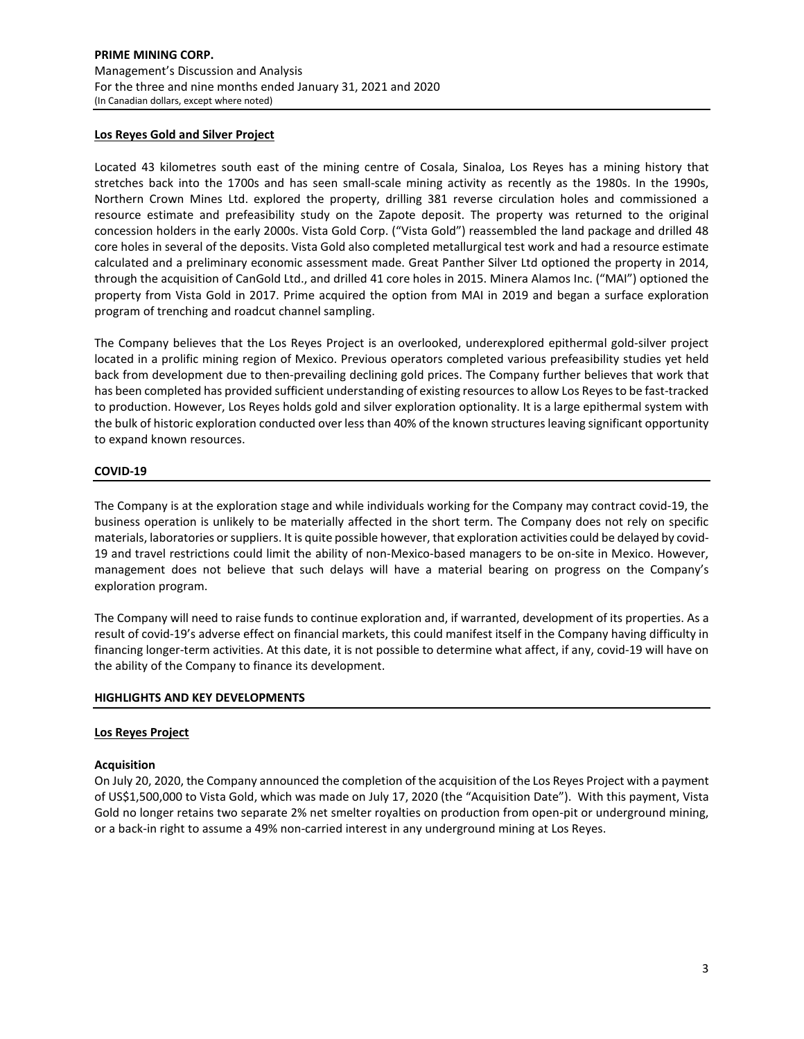## **Los Reyes Gold and Silver Project**

Located 43 kilometres south east of the mining centre of Cosala, Sinaloa, Los Reyes has a mining history that stretches back into the 1700s and has seen small-scale mining activity as recently as the 1980s. In the 1990s, Northern Crown Mines Ltd. explored the property, drilling 381 reverse circulation holes and commissioned a resource estimate and prefeasibility study on the Zapote deposit. The property was returned to the original concession holders in the early 2000s. Vista Gold Corp. ("Vista Gold") reassembled the land package and drilled 48 core holes in several of the deposits. Vista Gold also completed metallurgical test work and had a resource estimate calculated and a preliminary economic assessment made. Great Panther Silver Ltd optioned the property in 2014, through the acquisition of CanGold Ltd., and drilled 41 core holes in 2015. Minera Alamos Inc. ("MAI") optioned the property from Vista Gold in 2017. Prime acquired the option from MAI in 2019 and began a surface exploration program of trenching and roadcut channel sampling.

The Company believes that the Los Reyes Project is an overlooked, underexplored epithermal gold-silver project located in a prolific mining region of Mexico. Previous operators completed various prefeasibility studies yet held back from development due to then-prevailing declining gold prices. The Company further believes that work that has been completed has provided sufficient understanding of existing resources to allow Los Reyes to be fast-tracked to production. However, Los Reyes holds gold and silver exploration optionality. It is a large epithermal system with the bulk of historic exploration conducted over less than 40% of the known structures leaving significant opportunity to expand known resources.

# **COVID-19**

The Company is at the exploration stage and while individuals working for the Company may contract covid-19, the business operation is unlikely to be materially affected in the short term. The Company does not rely on specific materials, laboratories or suppliers. It is quite possible however, that exploration activities could be delayed by covid-19 and travel restrictions could limit the ability of non-Mexico-based managers to be on-site in Mexico. However, management does not believe that such delays will have a material bearing on progress on the Company's exploration program.

The Company will need to raise funds to continue exploration and, if warranted, development of its properties. As a result of covid-19's adverse effect on financial markets, this could manifest itself in the Company having difficulty in financing longer-term activities. At this date, it is not possible to determine what affect, if any, covid-19 will have on the ability of the Company to finance its development.

# **HIGHLIGHTS AND KEY DEVELOPMENTS**

## **Los Reyes Project**

## **Acquisition**

On July 20, 2020, the Company announced the completion of the acquisition of the Los Reyes Project with a payment of US\$1,500,000 to Vista Gold, which was made on July 17, 2020 (the "Acquisition Date"). With this payment, Vista Gold no longer retains two separate 2% net smelter royalties on production from open-pit or underground mining, or a back-in right to assume a 49% non-carried interest in any underground mining at Los Reyes.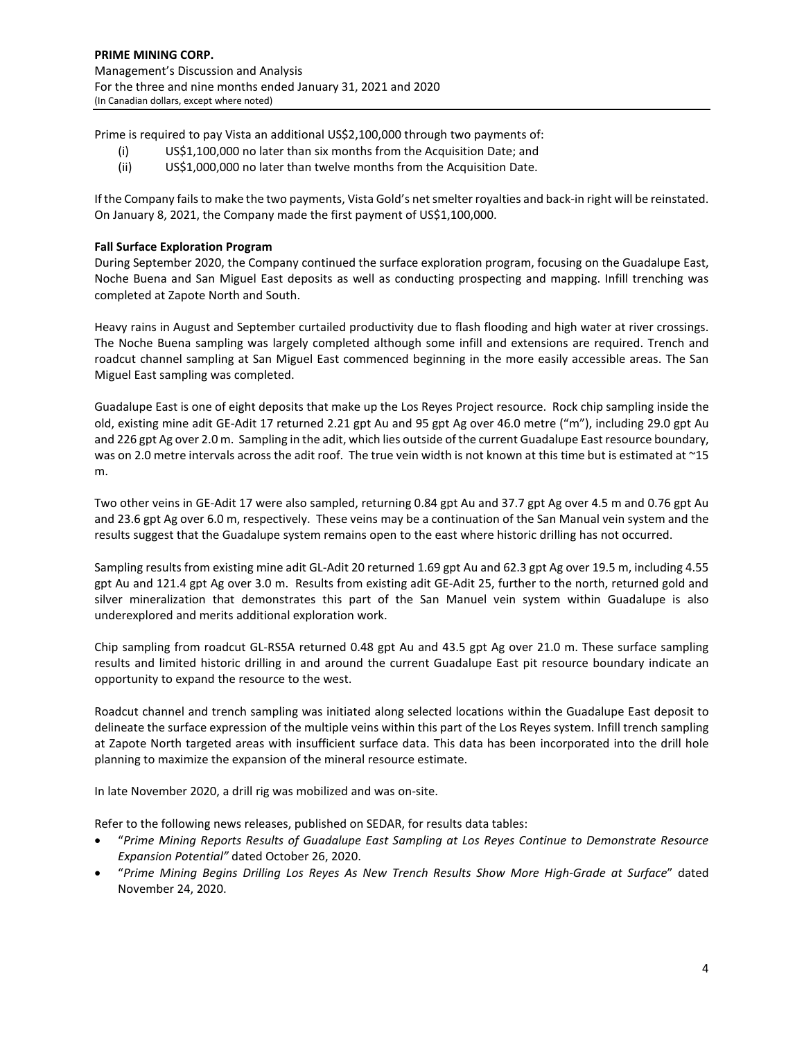Prime is required to pay Vista an additional US\$2,100,000 through two payments of:

- (i) US\$1,100,000 no later than six months from the Acquisition Date; and
- (ii) US\$1,000,000 no later than twelve months from the Acquisition Date.

If the Company fails to make the two payments, Vista Gold's net smelter royalties and back-in right will be reinstated. On January 8, 2021, the Company made the first payment of US\$1,100,000.

# **Fall Surface Exploration Program**

During September 2020, the Company continued the surface exploration program, focusing on the Guadalupe East, Noche Buena and San Miguel East deposits as well as conducting prospecting and mapping. Infill trenching was completed at Zapote North and South.

Heavy rains in August and September curtailed productivity due to flash flooding and high water at river crossings. The Noche Buena sampling was largely completed although some infill and extensions are required. Trench and roadcut channel sampling at San Miguel East commenced beginning in the more easily accessible areas. The San Miguel East sampling was completed.

Guadalupe East is one of eight deposits that make up the Los Reyes Project resource. Rock chip sampling inside the old, existing mine adit GE-Adit 17 returned 2.21 gpt Au and 95 gpt Ag over 46.0 metre ("m"), including 29.0 gpt Au and 226 gpt Ag over 2.0 m. Sampling in the adit, which lies outside of the current Guadalupe East resource boundary, was on 2.0 metre intervals across the adit roof. The true vein width is not known at this time but is estimated at ~15 m.

Two other veins in GE-Adit 17 were also sampled, returning 0.84 gpt Au and 37.7 gpt Ag over 4.5 m and 0.76 gpt Au and 23.6 gpt Ag over 6.0 m, respectively. These veins may be a continuation of the San Manual vein system and the results suggest that the Guadalupe system remains open to the east where historic drilling has not occurred.

Sampling results from existing mine adit GL-Adit 20 returned 1.69 gpt Au and 62.3 gpt Ag over 19.5 m, including 4.55 gpt Au and 121.4 gpt Ag over 3.0 m. Results from existing adit GE-Adit 25, further to the north, returned gold and silver mineralization that demonstrates this part of the San Manuel vein system within Guadalupe is also underexplored and merits additional exploration work.

Chip sampling from roadcut GL-RS5A returned 0.48 gpt Au and 43.5 gpt Ag over 21.0 m. These surface sampling results and limited historic drilling in and around the current Guadalupe East pit resource boundary indicate an opportunity to expand the resource to the west.

Roadcut channel and trench sampling was initiated along selected locations within the Guadalupe East deposit to delineate the surface expression of the multiple veins within this part of the Los Reyes system. Infill trench sampling at Zapote North targeted areas with insufficient surface data. This data has been incorporated into the drill hole planning to maximize the expansion of the mineral resource estimate.

In late November 2020, a drill rig was mobilized and was on-site.

Refer to the following news releases, published on SEDAR, for results data tables:

- "*Prime Mining Reports Results of Guadalupe East Sampling at Los Reyes Continue to Demonstrate Resource Expansion Potential"* dated October 26, 2020.
- "*Prime Mining Begins Drilling Los Reyes As New Trench Results Show More High-Grade at Surface*" dated November 24, 2020.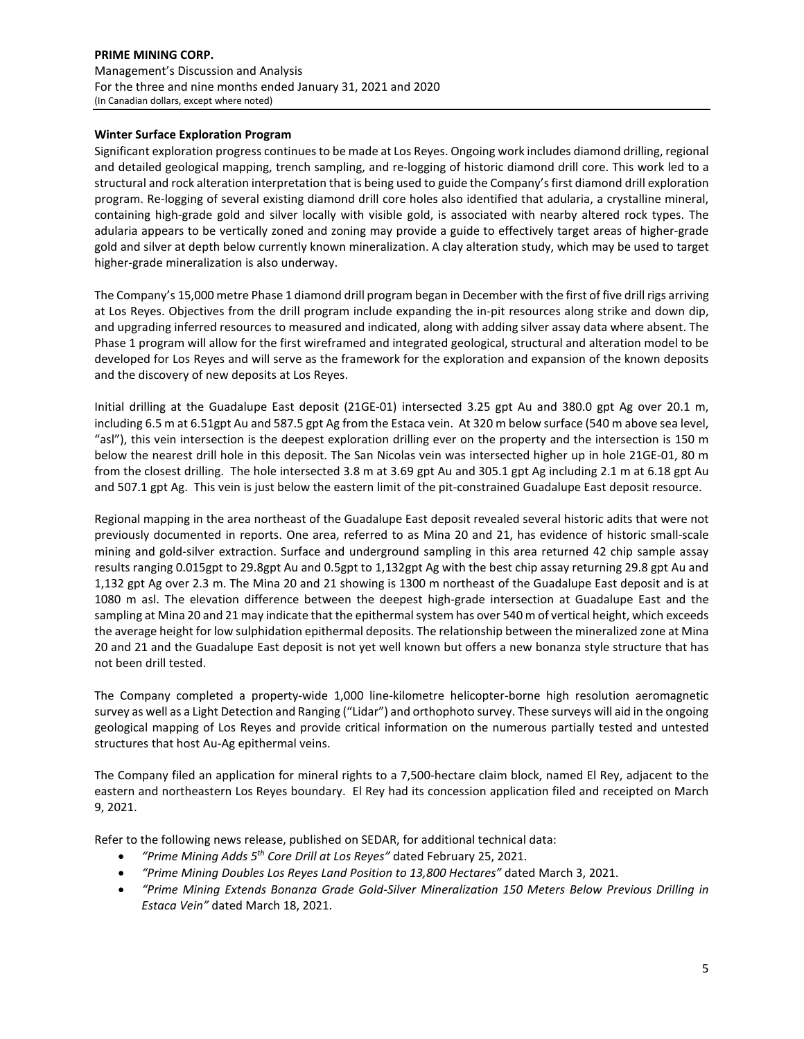# **PRIME MINING CORP.** Management's Discussion and Analysis For the three and nine months ended January 31, 2021 and 2020 (In Canadian dollars, except where noted)

# **Winter Surface Exploration Program**

Significant exploration progress continues to be made at Los Reyes. Ongoing work includes diamond drilling, regional and detailed geological mapping, trench sampling, and re-logging of historic diamond drill core. This work led to a structural and rock alteration interpretation that is being used to guide the Company's first diamond drill exploration program. Re-logging of several existing diamond drill core holes also identified that adularia, a crystalline mineral, containing high-grade gold and silver locally with visible gold, is associated with nearby altered rock types. The adularia appears to be vertically zoned and zoning may provide a guide to effectively target areas of higher-grade gold and silver at depth below currently known mineralization. A clay alteration study, which may be used to target higher-grade mineralization is also underway.

The Company's 15,000 metre Phase 1 diamond drill program began in December with the first of five drill rigs arriving at Los Reyes. Objectives from the drill program include expanding the in-pit resources along strike and down dip, and upgrading inferred resources to measured and indicated, along with adding silver assay data where absent. The Phase 1 program will allow for the first wireframed and integrated geological, structural and alteration model to be developed for Los Reyes and will serve as the framework for the exploration and expansion of the known deposits and the discovery of new deposits at Los Reyes.

Initial drilling at the Guadalupe East deposit (21GE-01) intersected 3.25 gpt Au and 380.0 gpt Ag over 20.1 m, including 6.5 m at 6.51gpt Au and 587.5 gpt Ag from the Estaca vein. At 320 m below surface (540 m above sea level, "asl"), this vein intersection is the deepest exploration drilling ever on the property and the intersection is 150 m below the nearest drill hole in this deposit. The San Nicolas vein was intersected higher up in hole 21GE-01, 80 m from the closest drilling. The hole intersected 3.8 m at 3.69 gpt Au and 305.1 gpt Ag including 2.1 m at 6.18 gpt Au and 507.1 gpt Ag. This vein is just below the eastern limit of the pit-constrained Guadalupe East deposit resource.

Regional mapping in the area northeast of the Guadalupe East deposit revealed several historic adits that were not previously documented in reports. One area, referred to as Mina 20 and 21, has evidence of historic small-scale mining and gold-silver extraction. Surface and underground sampling in this area returned 42 chip sample assay results ranging 0.015gpt to 29.8gpt Au and 0.5gpt to 1,132gpt Ag with the best chip assay returning 29.8 gpt Au and 1,132 gpt Ag over 2.3 m. The Mina 20 and 21 showing is 1300 m northeast of the Guadalupe East deposit and is at 1080 m asl. The elevation difference between the deepest high-grade intersection at Guadalupe East and the sampling at Mina 20 and 21 may indicate that the epithermal system has over 540 m of vertical height, which exceeds the average height for low sulphidation epithermal deposits. The relationship between the mineralized zone at Mina 20 and 21 and the Guadalupe East deposit is not yet well known but offers a new bonanza style structure that has not been drill tested.

The Company completed a property-wide 1,000 line-kilometre helicopter-borne high resolution aeromagnetic survey as well as a Light Detection and Ranging ("Lidar") and orthophoto survey. These surveys will aid in the ongoing geological mapping of Los Reyes and provide critical information on the numerous partially tested and untested structures that host Au-Ag epithermal veins.

The Company filed an application for mineral rights to a 7,500-hectare claim block, named El Rey, adjacent to the eastern and northeastern Los Reyes boundary. El Rey had its concession application filed and receipted on March 9, 2021.

Refer to the following news release, published on SEDAR, for additional technical data:

- *"Prime Mining Adds 5th Core Drill at Los Reyes"* dated February 25, 2021.
- *"Prime Mining Doubles Los Reyes Land Position to 13,800 Hectares"* dated March 3, 2021.
- *"Prime Mining Extends Bonanza Grade Gold-Silver Mineralization 150 Meters Below Previous Drilling in Estaca Vein"* dated March 18, 2021.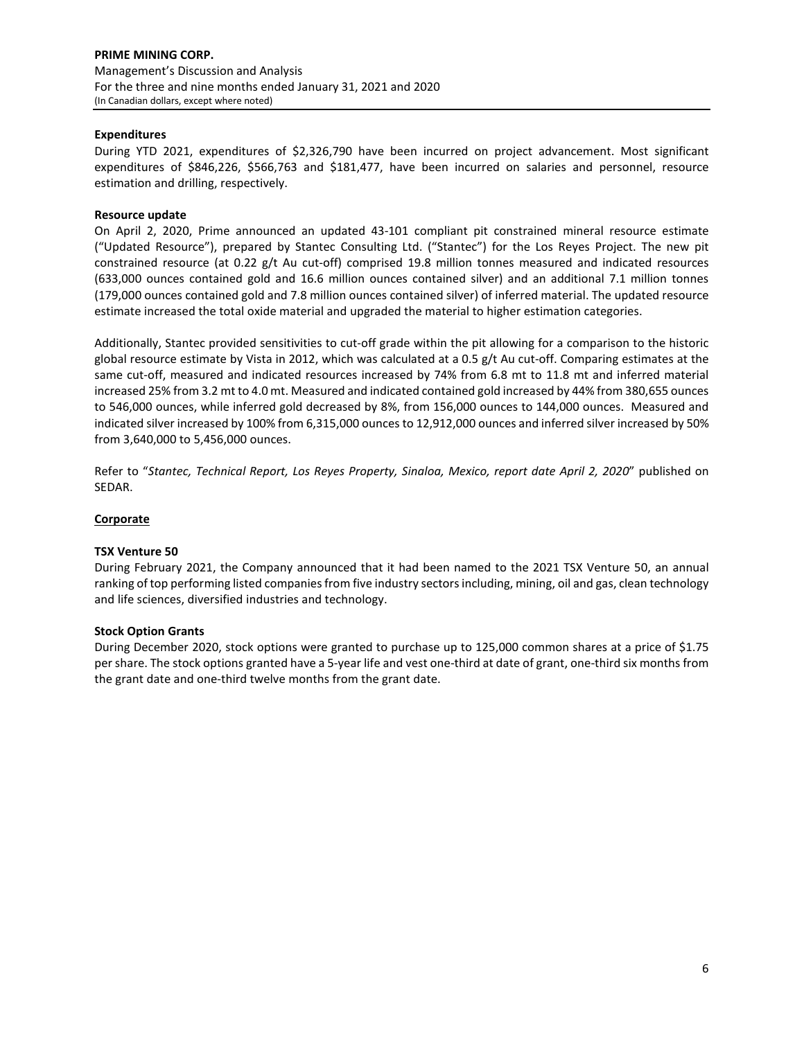# **Expenditures**

During YTD 2021, expenditures of \$2,326,790 have been incurred on project advancement. Most significant expenditures of \$846,226, \$566,763 and \$181,477, have been incurred on salaries and personnel, resource estimation and drilling, respectively.

# **Resource update**

On April 2, 2020, Prime announced an updated 43-101 compliant pit constrained mineral resource estimate ("Updated Resource"), prepared by Stantec Consulting Ltd. ("Stantec") for the Los Reyes Project. The new pit constrained resource (at 0.22 g/t Au cut-off) comprised 19.8 million tonnes measured and indicated resources (633,000 ounces contained gold and 16.6 million ounces contained silver) and an additional 7.1 million tonnes (179,000 ounces contained gold and 7.8 million ounces contained silver) of inferred material. The updated resource estimate increased the total oxide material and upgraded the material to higher estimation categories.

Additionally, Stantec provided sensitivities to cut-off grade within the pit allowing for a comparison to the historic global resource estimate by Vista in 2012, which was calculated at a 0.5 g/t Au cut-off. Comparing estimates at the same cut-off, measured and indicated resources increased by 74% from 6.8 mt to 11.8 mt and inferred material increased 25% from 3.2 mt to 4.0 mt. Measured and indicated contained gold increased by 44% from 380,655 ounces to 546,000 ounces, while inferred gold decreased by 8%, from 156,000 ounces to 144,000 ounces. Measured and indicated silver increased by 100% from 6,315,000 ounces to 12,912,000 ounces and inferred silver increased by 50% from 3,640,000 to 5,456,000 ounces.

Refer to "*Stantec, Technical Report, Los Reyes Property, Sinaloa, Mexico, report date April 2, 2020*" published on SEDAR.

## **Corporate**

## **TSX Venture 50**

During February 2021, the Company announced that it had been named to the 2021 TSX Venture 50, an annual ranking of top performing listed companies from five industry sectors including, mining, oil and gas, clean technology and life sciences, diversified industries and technology.

## **Stock Option Grants**

During December 2020, stock options were granted to purchase up to 125,000 common shares at a price of \$1.75 per share. The stock options granted have a 5-year life and vest one-third at date of grant, one-third six months from the grant date and one-third twelve months from the grant date.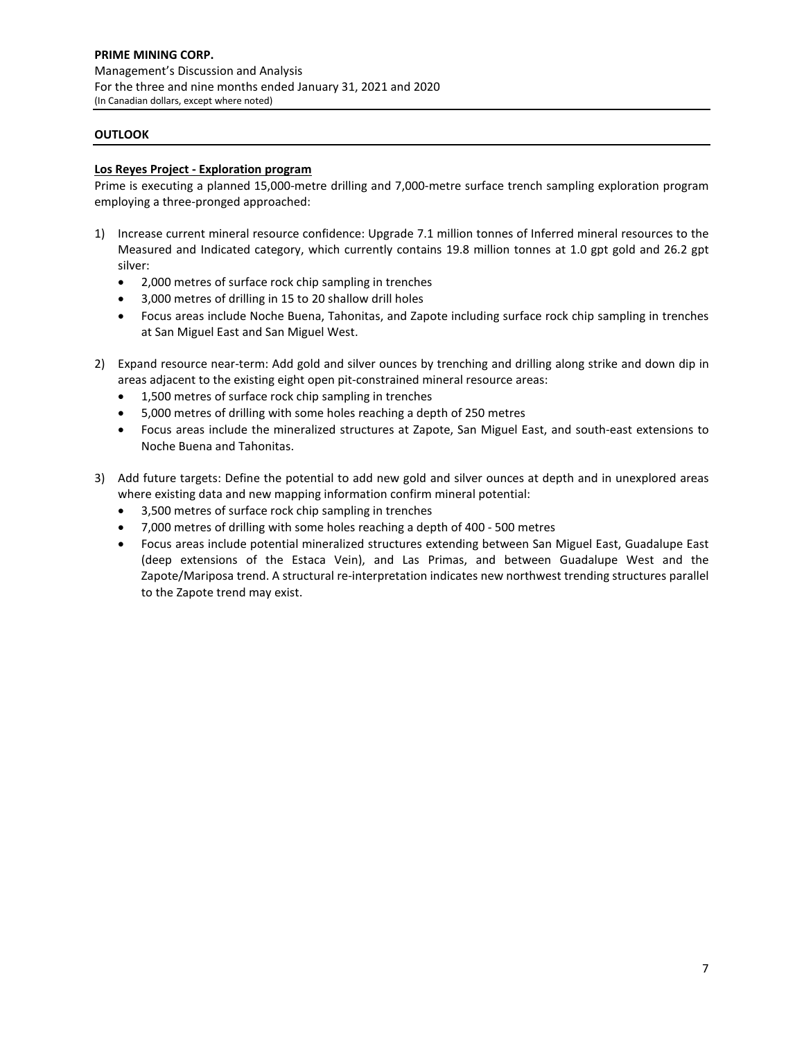# **OUTLOOK**

## **Los Reyes Project - Exploration program**

Prime is executing a planned 15,000-metre drilling and 7,000-metre surface trench sampling exploration program employing a three-pronged approached:

- 1) Increase current mineral resource confidence: Upgrade 7.1 million tonnes of Inferred mineral resources to the Measured and Indicated category, which currently contains 19.8 million tonnes at 1.0 gpt gold and 26.2 gpt silver:
	- 2,000 metres of surface rock chip sampling in trenches
	- 3,000 metres of drilling in 15 to 20 shallow drill holes
	- Focus areas include Noche Buena, Tahonitas, and Zapote including surface rock chip sampling in trenches at San Miguel East and San Miguel West.
- 2) Expand resource near-term: Add gold and silver ounces by trenching and drilling along strike and down dip in areas adjacent to the existing eight open pit-constrained mineral resource areas:
	- 1,500 metres of surface rock chip sampling in trenches
	- 5,000 metres of drilling with some holes reaching a depth of 250 metres
	- Focus areas include the mineralized structures at Zapote, San Miguel East, and south-east extensions to Noche Buena and Tahonitas.
- 3) Add future targets: Define the potential to add new gold and silver ounces at depth and in unexplored areas where existing data and new mapping information confirm mineral potential:
	- 3,500 metres of surface rock chip sampling in trenches
	- 7,000 metres of drilling with some holes reaching a depth of 400 500 metres
	- Focus areas include potential mineralized structures extending between San Miguel East, Guadalupe East (deep extensions of the Estaca Vein), and Las Primas, and between Guadalupe West and the Zapote/Mariposa trend. A structural re-interpretation indicates new northwest trending structures parallel to the Zapote trend may exist.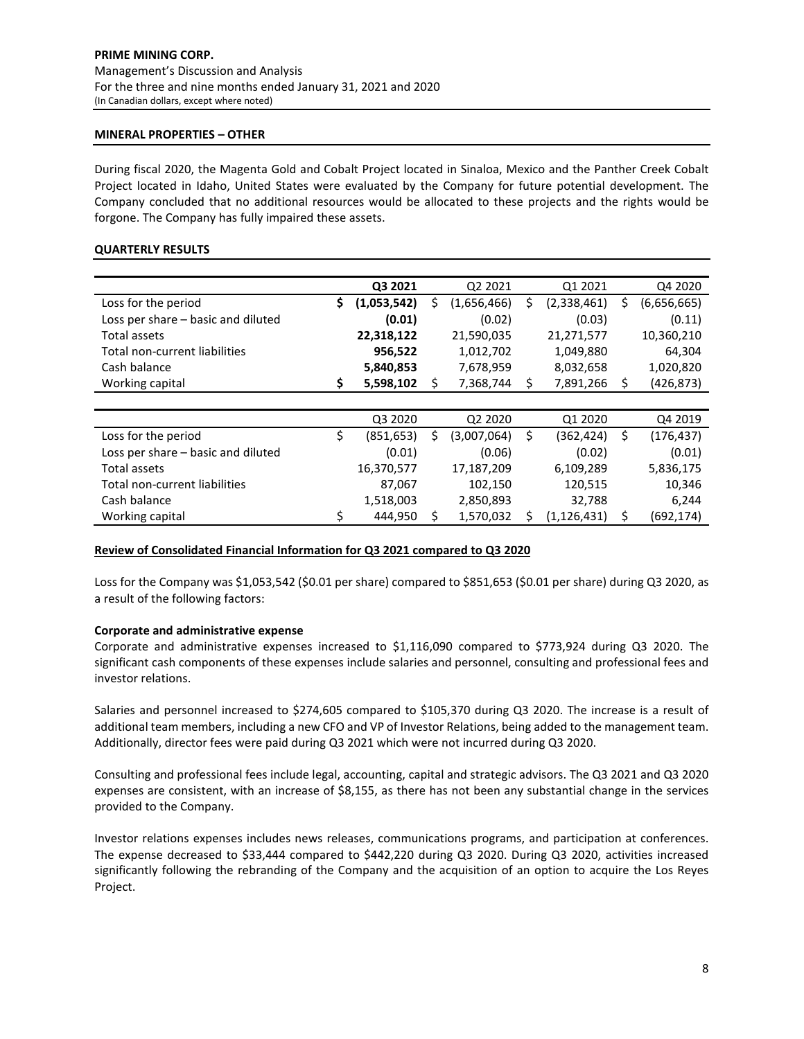## **MINERAL PROPERTIES – OTHER**

During fiscal 2020, the Magenta Gold and Cobalt Project located in Sinaloa, Mexico and the Panther Creek Cobalt Project located in Idaho, United States were evaluated by the Company for future potential development. The Company concluded that no additional resources would be allocated to these projects and the rights would be forgone. The Company has fully impaired these assets.

# **QUARTERLY RESULTS**

|                                    |    | Q3 2021     |   | Q2 2021     |   | Q1 2021       |    | Q4 2020     |
|------------------------------------|----|-------------|---|-------------|---|---------------|----|-------------|
| Loss for the period                | \$ | (1,053,542) | Ś | (1,656,466) | S | (2,338,461)   | \$ | (6,656,665) |
| Loss per share - basic and diluted |    | (0.01)      |   | (0.02)      |   | (0.03)        |    | (0.11)      |
| Total assets                       |    | 22,318,122  |   | 21,590,035  |   | 21,271,577    |    | 10,360,210  |
| Total non-current liabilities      |    | 956,522     |   | 1,012,702   |   | 1,049,880     |    | 64,304      |
| Cash balance                       |    | 5,840,853   |   | 7,678,959   |   | 8,032,658     |    | 1,020,820   |
| Working capital                    | \$ | 5,598,102   | S | 7,368,744   | S | 7,891,266     | S  | (426, 873)  |
|                                    |    |             |   |             |   |               |    |             |
|                                    |    | Q3 2020     |   | Q2 2020     |   | Q1 2020       |    | Q4 2019     |
| Loss for the period                | Ś  | (851, 653)  | Ś | (3,007,064) | Ś | (362, 424)    | \$ | (176, 437)  |
| Loss per share – basic and diluted |    | (0.01)      |   | (0.06)      |   | (0.02)        |    | (0.01)      |
| Total assets                       |    | 16,370,577  |   | 17,187,209  |   | 6,109,289     |    | 5,836,175   |
| Total non-current liabilities      |    | 87,067      |   | 102,150     |   | 120,515       |    | 10,346      |
| Cash balance                       |    | 1,518,003   |   | 2,850,893   |   | 32,788        |    | 6,244       |
| Working capital                    | \$ | 444,950     | S | 1,570,032   |   | (1, 126, 431) | S  | (692, 174)  |

## **Review of Consolidated Financial Information for Q3 2021 compared to Q3 2020**

Loss for the Company was \$1,053,542 (\$0.01 per share) compared to \$851,653 (\$0.01 per share) during Q3 2020, as a result of the following factors:

## **Corporate and administrative expense**

Corporate and administrative expenses increased to \$1,116,090 compared to \$773,924 during Q3 2020. The significant cash components of these expenses include salaries and personnel, consulting and professional fees and investor relations.

Salaries and personnel increased to \$274,605 compared to \$105,370 during Q3 2020. The increase is a result of additional team members, including a new CFO and VP of Investor Relations, being added to the management team. Additionally, director fees were paid during Q3 2021 which were not incurred during Q3 2020.

Consulting and professional fees include legal, accounting, capital and strategic advisors. The Q3 2021 and Q3 2020 expenses are consistent, with an increase of \$8,155, as there has not been any substantial change in the services provided to the Company.

Investor relations expenses includes news releases, communications programs, and participation at conferences. The expense decreased to \$33,444 compared to \$442,220 during Q3 2020. During Q3 2020, activities increased significantly following the rebranding of the Company and the acquisition of an option to acquire the Los Reyes Project.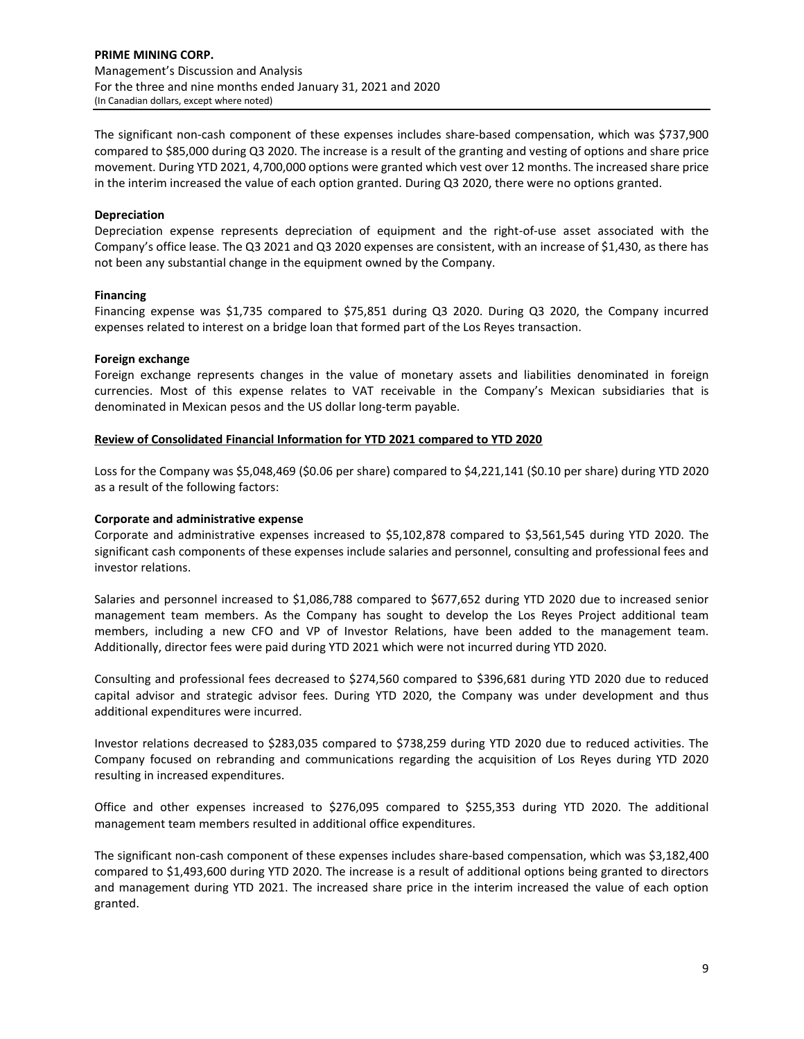The significant non-cash component of these expenses includes share-based compensation, which was \$737,900 compared to \$85,000 during Q3 2020. The increase is a result of the granting and vesting of options and share price movement. During YTD 2021, 4,700,000 options were granted which vest over 12 months. The increased share price in the interim increased the value of each option granted. During Q3 2020, there were no options granted.

# **Depreciation**

Depreciation expense represents depreciation of equipment and the right-of-use asset associated with the Company's office lease. The Q3 2021 and Q3 2020 expenses are consistent, with an increase of \$1,430, as there has not been any substantial change in the equipment owned by the Company.

## **Financing**

Financing expense was \$1,735 compared to \$75,851 during Q3 2020. During Q3 2020, the Company incurred expenses related to interest on a bridge loan that formed part of the Los Reyes transaction.

## **Foreign exchange**

Foreign exchange represents changes in the value of monetary assets and liabilities denominated in foreign currencies. Most of this expense relates to VAT receivable in the Company's Mexican subsidiaries that is denominated in Mexican pesos and the US dollar long-term payable.

# **Review of Consolidated Financial Information for YTD 2021 compared to YTD 2020**

Loss for the Company was \$5,048,469 (\$0.06 per share) compared to \$4,221,141 (\$0.10 per share) during YTD 2020 as a result of the following factors:

# **Corporate and administrative expense**

Corporate and administrative expenses increased to \$5,102,878 compared to \$3,561,545 during YTD 2020. The significant cash components of these expenses include salaries and personnel, consulting and professional fees and investor relations.

Salaries and personnel increased to \$1,086,788 compared to \$677,652 during YTD 2020 due to increased senior management team members. As the Company has sought to develop the Los Reyes Project additional team members, including a new CFO and VP of Investor Relations, have been added to the management team. Additionally, director fees were paid during YTD 2021 which were not incurred during YTD 2020.

Consulting and professional fees decreased to \$274,560 compared to \$396,681 during YTD 2020 due to reduced capital advisor and strategic advisor fees. During YTD 2020, the Company was under development and thus additional expenditures were incurred.

Investor relations decreased to \$283,035 compared to \$738,259 during YTD 2020 due to reduced activities. The Company focused on rebranding and communications regarding the acquisition of Los Reyes during YTD 2020 resulting in increased expenditures.

Office and other expenses increased to \$276,095 compared to \$255,353 during YTD 2020. The additional management team members resulted in additional office expenditures.

The significant non-cash component of these expenses includes share-based compensation, which was \$3,182,400 compared to \$1,493,600 during YTD 2020. The increase is a result of additional options being granted to directors and management during YTD 2021. The increased share price in the interim increased the value of each option granted.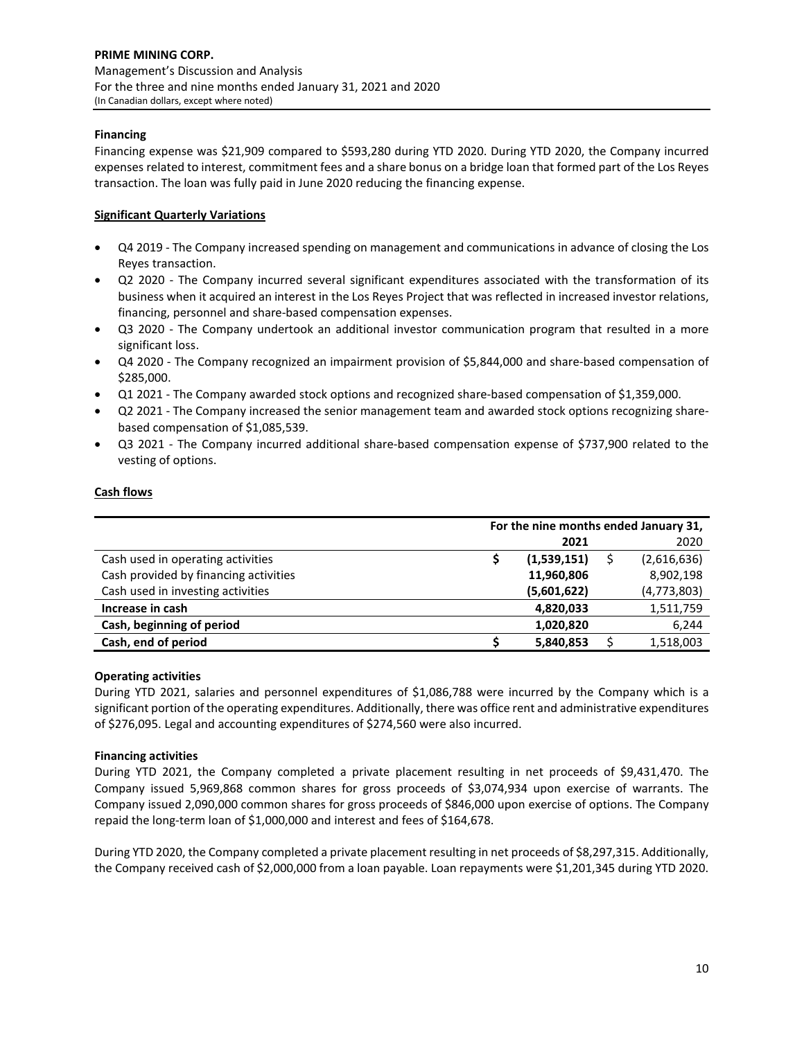# **Financing**

Financing expense was \$21,909 compared to \$593,280 during YTD 2020. During YTD 2020, the Company incurred expenses related to interest, commitment fees and a share bonus on a bridge loan that formed part of the Los Reyes transaction. The loan was fully paid in June 2020 reducing the financing expense.

# **Significant Quarterly Variations**

- Q4 2019 The Company increased spending on management and communications in advance of closing the Los Reyes transaction.
- Q2 2020 The Company incurred several significant expenditures associated with the transformation of its business when it acquired an interest in the Los Reyes Project that was reflected in increased investor relations, financing, personnel and share-based compensation expenses.
- Q3 2020 The Company undertook an additional investor communication program that resulted in a more significant loss.
- Q4 2020 The Company recognized an impairment provision of \$5,844,000 and share-based compensation of \$285,000.
- Q1 2021 The Company awarded stock options and recognized share-based compensation of \$1,359,000.
- Q2 2021 The Company increased the senior management team and awarded stock options recognizing sharebased compensation of \$1,085,539.
- Q3 2021 The Company incurred additional share-based compensation expense of \$737,900 related to the vesting of options.

# **Cash flows**

|                                       | For the nine months ended January 31, |             |  |               |
|---------------------------------------|---------------------------------------|-------------|--|---------------|
|                                       |                                       | 2021        |  | 2020          |
| Cash used in operating activities     |                                       | (1,539,151) |  | (2,616,636)   |
| Cash provided by financing activities |                                       | 11,960,806  |  | 8,902,198     |
| Cash used in investing activities     |                                       | (5,601,622) |  | (4, 773, 803) |
| Increase in cash                      |                                       | 4,820,033   |  | 1,511,759     |
| Cash, beginning of period             |                                       | 1,020,820   |  | 6,244         |
| Cash, end of period                   |                                       | 5,840,853   |  | 1,518,003     |

## **Operating activities**

During YTD 2021, salaries and personnel expenditures of \$1,086,788 were incurred by the Company which is a significant portion of the operating expenditures. Additionally, there was office rent and administrative expenditures of \$276,095. Legal and accounting expenditures of \$274,560 were also incurred.

# **Financing activities**

During YTD 2021, the Company completed a private placement resulting in net proceeds of \$9,431,470. The Company issued 5,969,868 common shares for gross proceeds of \$3,074,934 upon exercise of warrants. The Company issued 2,090,000 common shares for gross proceeds of \$846,000 upon exercise of options. The Company repaid the long-term loan of \$1,000,000 and interest and fees of \$164,678.

During YTD 2020, the Company completed a private placement resulting in net proceeds of \$8,297,315. Additionally, the Company received cash of \$2,000,000 from a loan payable. Loan repayments were \$1,201,345 during YTD 2020.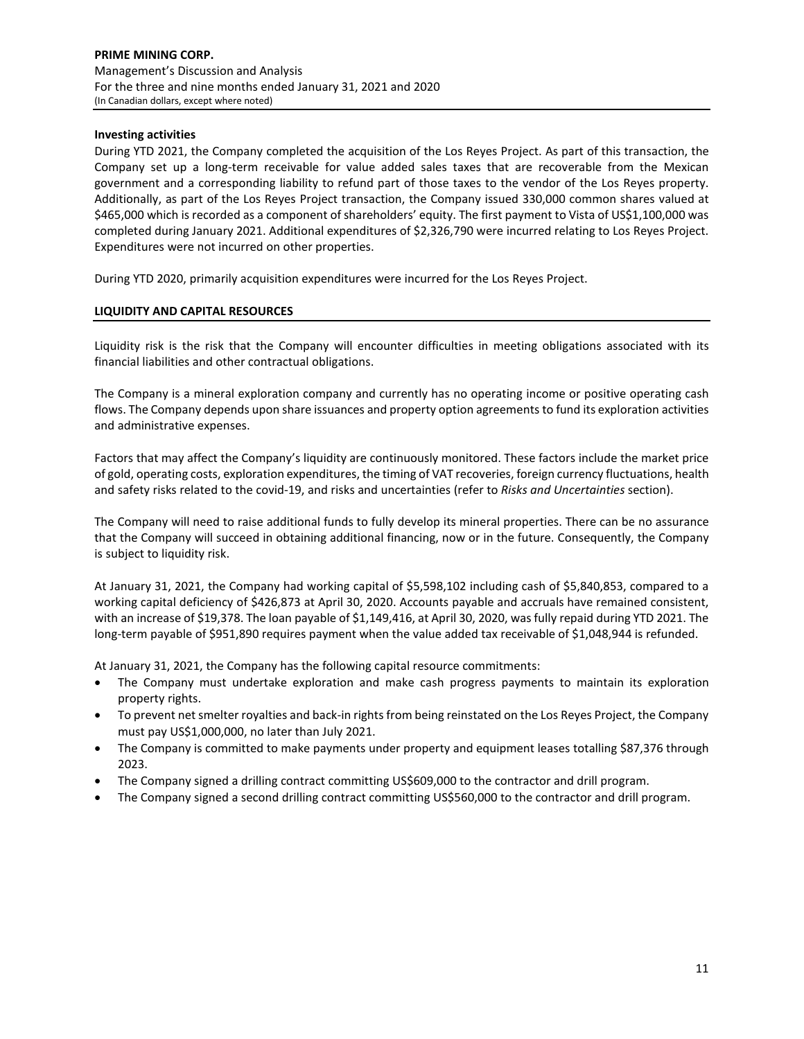# **Investing activities**

During YTD 2021, the Company completed the acquisition of the Los Reyes Project. As part of this transaction, the Company set up a long-term receivable for value added sales taxes that are recoverable from the Mexican government and a corresponding liability to refund part of those taxes to the vendor of the Los Reyes property. Additionally, as part of the Los Reyes Project transaction, the Company issued 330,000 common shares valued at \$465,000 which is recorded as a component of shareholders' equity. The first payment to Vista of US\$1,100,000 was completed during January 2021. Additional expenditures of \$2,326,790 were incurred relating to Los Reyes Project. Expenditures were not incurred on other properties.

During YTD 2020, primarily acquisition expenditures were incurred for the Los Reyes Project.

# **LIQUIDITY AND CAPITAL RESOURCES**

Liquidity risk is the risk that the Company will encounter difficulties in meeting obligations associated with its financial liabilities and other contractual obligations.

The Company is a mineral exploration company and currently has no operating income or positive operating cash flows. The Company depends upon share issuances and property option agreements to fund its exploration activities and administrative expenses.

Factors that may affect the Company's liquidity are continuously monitored. These factors include the market price of gold, operating costs, exploration expenditures, the timing of VAT recoveries, foreign currency fluctuations, health and safety risks related to the covid-19, and risks and uncertainties (refer to *Risks and Uncertainties* section).

The Company will need to raise additional funds to fully develop its mineral properties. There can be no assurance that the Company will succeed in obtaining additional financing, now or in the future. Consequently, the Company is subject to liquidity risk.

At January 31, 2021, the Company had working capital of \$5,598,102 including cash of \$5,840,853, compared to a working capital deficiency of \$426,873 at April 30, 2020. Accounts payable and accruals have remained consistent, with an increase of \$19,378. The loan payable of \$1,149,416, at April 30, 2020, was fully repaid during YTD 2021. The long-term payable of \$951,890 requires payment when the value added tax receivable of \$1,048,944 is refunded.

At January 31, 2021, the Company has the following capital resource commitments:

- The Company must undertake exploration and make cash progress payments to maintain its exploration property rights.
- To prevent net smelter royalties and back-in rights from being reinstated on the Los Reyes Project, the Company must pay US\$1,000,000, no later than July 2021.
- The Company is committed to make payments under property and equipment leases totalling \$87,376 through 2023.
- The Company signed a drilling contract committing US\$609,000 to the contractor and drill program.
- The Company signed a second drilling contract committing US\$560,000 to the contractor and drill program.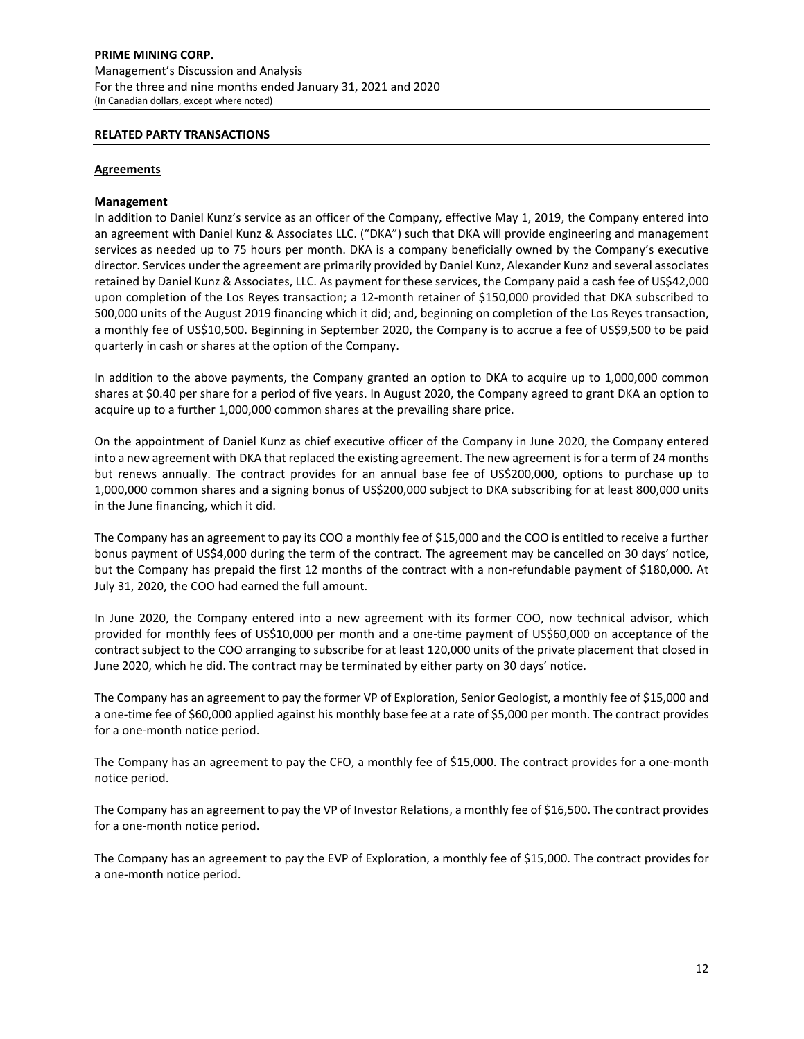## **RELATED PARTY TRANSACTIONS**

## **Agreements**

## **Management**

In addition to Daniel Kunz's service as an officer of the Company, effective May 1, 2019, the Company entered into an agreement with Daniel Kunz & Associates LLC. ("DKA") such that DKA will provide engineering and management services as needed up to 75 hours per month. DKA is a company beneficially owned by the Company's executive director. Services under the agreement are primarily provided by Daniel Kunz, Alexander Kunz and several associates retained by Daniel Kunz & Associates, LLC. As payment for these services, the Company paid a cash fee of US\$42,000 upon completion of the Los Reyes transaction; a 12-month retainer of \$150,000 provided that DKA subscribed to 500,000 units of the August 2019 financing which it did; and, beginning on completion of the Los Reyes transaction, a monthly fee of US\$10,500. Beginning in September 2020, the Company is to accrue a fee of US\$9,500 to be paid quarterly in cash or shares at the option of the Company.

In addition to the above payments, the Company granted an option to DKA to acquire up to 1,000,000 common shares at \$0.40 per share for a period of five years. In August 2020, the Company agreed to grant DKA an option to acquire up to a further 1,000,000 common shares at the prevailing share price.

On the appointment of Daniel Kunz as chief executive officer of the Company in June 2020, the Company entered into a new agreement with DKA that replaced the existing agreement. The new agreement is for a term of 24 months but renews annually. The contract provides for an annual base fee of US\$200,000, options to purchase up to 1,000,000 common shares and a signing bonus of US\$200,000 subject to DKA subscribing for at least 800,000 units in the June financing, which it did.

The Company has an agreement to pay its COO a monthly fee of \$15,000 and the COO is entitled to receive a further bonus payment of US\$4,000 during the term of the contract. The agreement may be cancelled on 30 days' notice, but the Company has prepaid the first 12 months of the contract with a non-refundable payment of \$180,000. At July 31, 2020, the COO had earned the full amount.

In June 2020, the Company entered into a new agreement with its former COO, now technical advisor, which provided for monthly fees of US\$10,000 per month and a one-time payment of US\$60,000 on acceptance of the contract subject to the COO arranging to subscribe for at least 120,000 units of the private placement that closed in June 2020, which he did. The contract may be terminated by either party on 30 days' notice.

The Company has an agreement to pay the former VP of Exploration, Senior Geologist, a monthly fee of \$15,000 and a one-time fee of \$60,000 applied against his monthly base fee at a rate of \$5,000 per month. The contract provides for a one-month notice period.

The Company has an agreement to pay the CFO, a monthly fee of \$15,000. The contract provides for a one-month notice period.

The Company has an agreement to pay the VP of Investor Relations, a monthly fee of \$16,500. The contract provides for a one-month notice period.

The Company has an agreement to pay the EVP of Exploration, a monthly fee of \$15,000. The contract provides for a one-month notice period.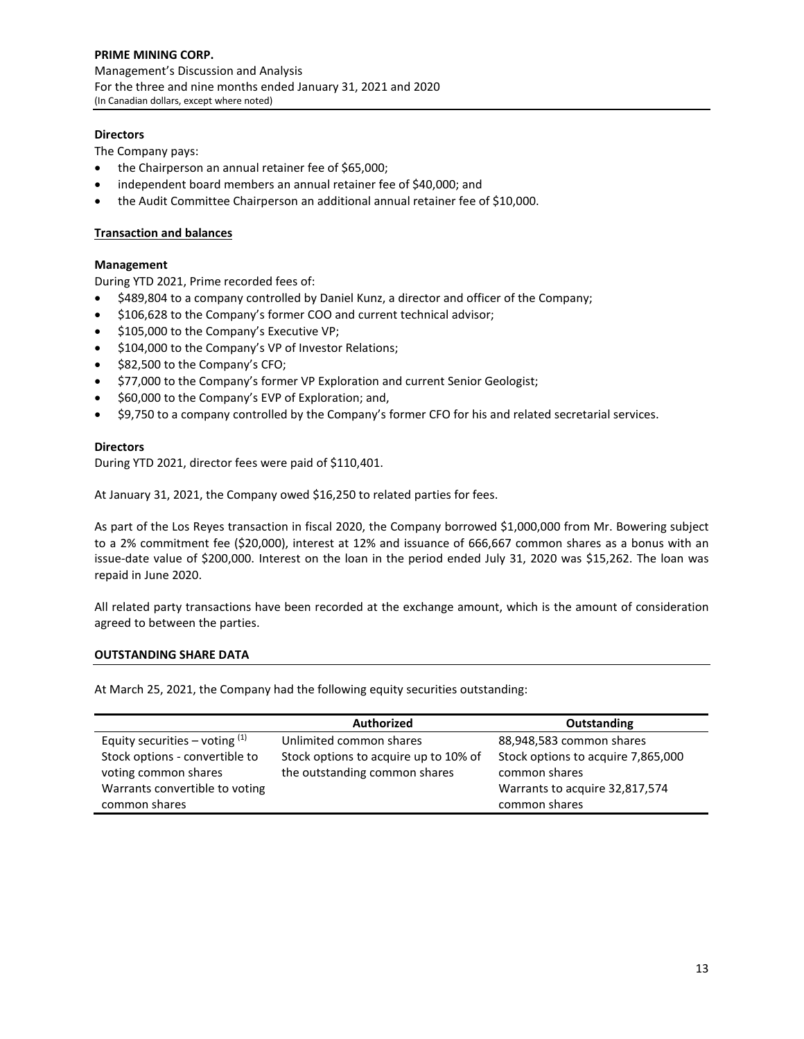**PRIME MINING CORP.** Management's Discussion and Analysis For the three and nine months ended January 31, 2021 and 2020 (In Canadian dollars, except where noted)

# **Directors**

The Company pays:

- the Chairperson an annual retainer fee of \$65,000;
- independent board members an annual retainer fee of \$40,000; and
- the Audit Committee Chairperson an additional annual retainer fee of \$10,000.

# **Transaction and balances**

# **Management**

During YTD 2021, Prime recorded fees of:

- \$489,804 to a company controlled by Daniel Kunz, a director and officer of the Company;
- \$106,628 to the Company's former COO and current technical advisor;
- \$105,000 to the Company's Executive VP;
- \$104,000 to the Company's VP of Investor Relations;
- \$82,500 to the Company's CFO;
- \$77,000 to the Company's former VP Exploration and current Senior Geologist;
- \$60,000 to the Company's EVP of Exploration; and,
- \$9,750 to a company controlled by the Company's former CFO for his and related secretarial services.

## **Directors**

During YTD 2021, director fees were paid of \$110,401.

At January 31, 2021, the Company owed \$16,250 to related parties for fees.

As part of the Los Reyes transaction in fiscal 2020, the Company borrowed \$1,000,000 from Mr. Bowering subject to a 2% commitment fee (\$20,000), interest at 12% and issuance of 666,667 common shares as a bonus with an issue-date value of \$200,000. Interest on the loan in the period ended July 31, 2020 was \$15,262. The loan was repaid in June 2020.

All related party transactions have been recorded at the exchange amount, which is the amount of consideration agreed to between the parties.

## **OUTSTANDING SHARE DATA**

At March 25, 2021, the Company had the following equity securities outstanding:

|                                                        | <b>Authorized</b>                                                      | Outstanding                                         |  |  |  |
|--------------------------------------------------------|------------------------------------------------------------------------|-----------------------------------------------------|--|--|--|
| Equity securities – voting $(1)$                       | Unlimited common shares                                                | 88,948,583 common shares                            |  |  |  |
| Stock options - convertible to<br>voting common shares | Stock options to acquire up to 10% of<br>the outstanding common shares | Stock options to acquire 7,865,000<br>common shares |  |  |  |
| Warrants convertible to voting                         |                                                                        | Warrants to acquire 32,817,574                      |  |  |  |
| common shares                                          |                                                                        | common shares                                       |  |  |  |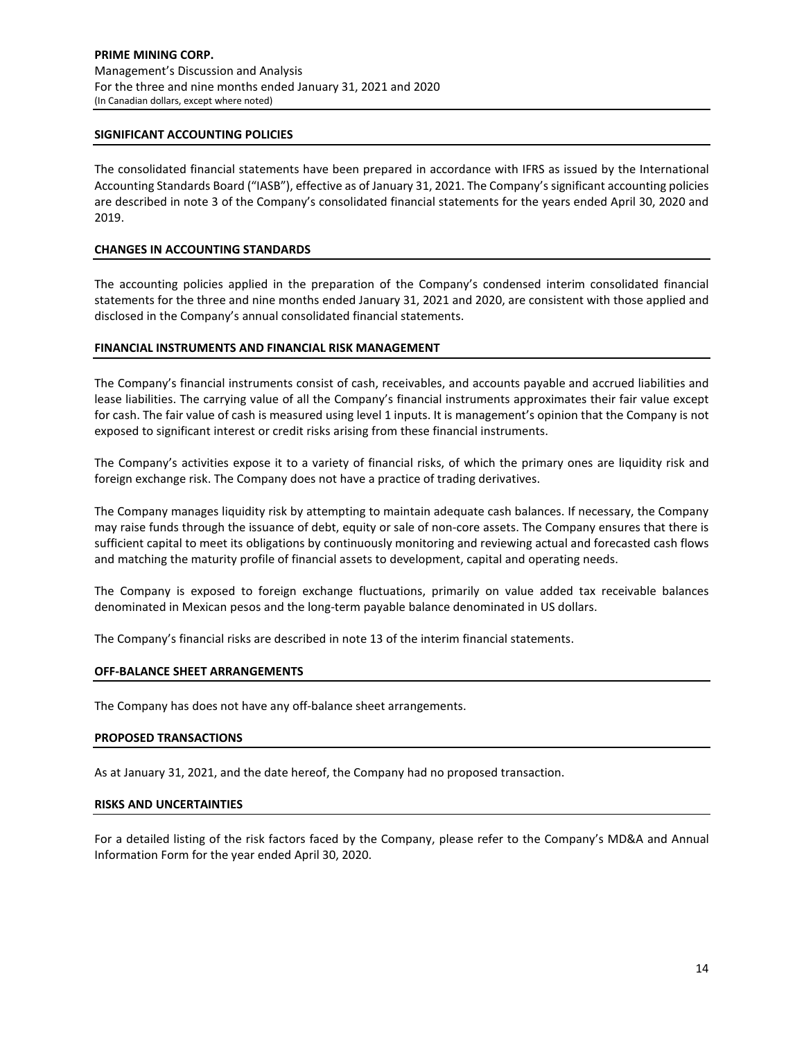## **SIGNIFICANT ACCOUNTING POLICIES**

The consolidated financial statements have been prepared in accordance with IFRS as issued by the International Accounting Standards Board ("IASB"), effective as of January 31, 2021. The Company's significant accounting policies are described in note 3 of the Company's consolidated financial statements for the years ended April 30, 2020 and 2019.

# **CHANGES IN ACCOUNTING STANDARDS**

The accounting policies applied in the preparation of the Company's condensed interim consolidated financial statements for the three and nine months ended January 31, 2021 and 2020, are consistent with those applied and disclosed in the Company's annual consolidated financial statements.

# **FINANCIAL INSTRUMENTS AND FINANCIAL RISK MANAGEMENT**

The Company's financial instruments consist of cash, receivables, and accounts payable and accrued liabilities and lease liabilities. The carrying value of all the Company's financial instruments approximates their fair value except for cash. The fair value of cash is measured using level 1 inputs. It is management's opinion that the Company is not exposed to significant interest or credit risks arising from these financial instruments.

The Company's activities expose it to a variety of financial risks, of which the primary ones are liquidity risk and foreign exchange risk. The Company does not have a practice of trading derivatives.

The Company manages liquidity risk by attempting to maintain adequate cash balances. If necessary, the Company may raise funds through the issuance of debt, equity or sale of non-core assets. The Company ensures that there is sufficient capital to meet its obligations by continuously monitoring and reviewing actual and forecasted cash flows and matching the maturity profile of financial assets to development, capital and operating needs.

The Company is exposed to foreign exchange fluctuations, primarily on value added tax receivable balances denominated in Mexican pesos and the long-term payable balance denominated in US dollars.

The Company's financial risks are described in note 13 of the interim financial statements.

## **OFF-BALANCE SHEET ARRANGEMENTS**

The Company has does not have any off-balance sheet arrangements.

## **PROPOSED TRANSACTIONS**

As at January 31, 2021, and the date hereof, the Company had no proposed transaction.

## **RISKS AND UNCERTAINTIES**

For a detailed listing of the risk factors faced by the Company, please refer to the Company's MD&A and Annual Information Form for the year ended April 30, 2020.